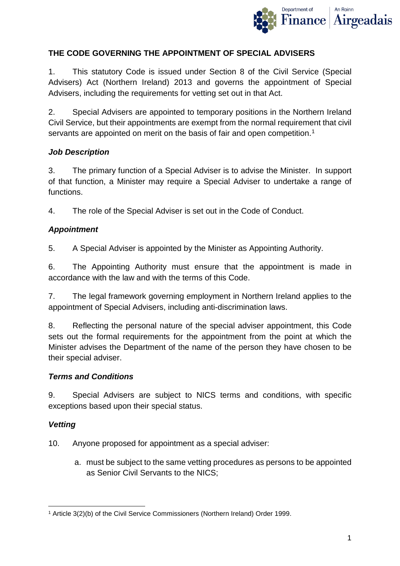

### **THE CODE GOVERNING THE APPOINTMENT OF SPECIAL ADVISERS**

1. This statutory Code is issued under Section 8 of the Civil Service (Special Advisers) Act (Northern Ireland) 2013 and governs the appointment of Special Advisers, including the requirements for vetting set out in that Act.

2. Special Advisers are appointed to temporary positions in the Northern Ireland Civil Service, but their appointments are exempt from the normal requirement that civil servants are appointed on merit on the basis of fair and open competition.<sup>[1](#page-0-0)</sup>

### *Job Description*

3. The primary function of a Special Adviser is to advise the Minister. In support of that function, a Minister may require a Special Adviser to undertake a range of functions.

4. The role of the Special Adviser is set out in the Code of Conduct.

# *Appointment*

5. A Special Adviser is appointed by the Minister as Appointing Authority.

6. The Appointing Authority must ensure that the appointment is made in accordance with the law and with the terms of this Code.

7. The legal framework governing employment in Northern Ireland applies to the appointment of Special Advisers, including anti-discrimination laws.

8. Reflecting the personal nature of the special adviser appointment, this Code sets out the formal requirements for the appointment from the point at which the Minister advises the Department of the name of the person they have chosen to be their special adviser.

### *Terms and Conditions*

9. Special Advisers are subject to NICS terms and conditions, with specific exceptions based upon their special status.

# *Vetting*

10. Anyone proposed for appointment as a special adviser:

a. must be subject to the same vetting procedures as persons to be appointed as Senior Civil Servants to the NICS;

<span id="page-0-0"></span>**<sup>.</sup>** <sup>1</sup> Article 3(2)(b) of the Civil Service Commissioners (Northern Ireland) Order 1999.